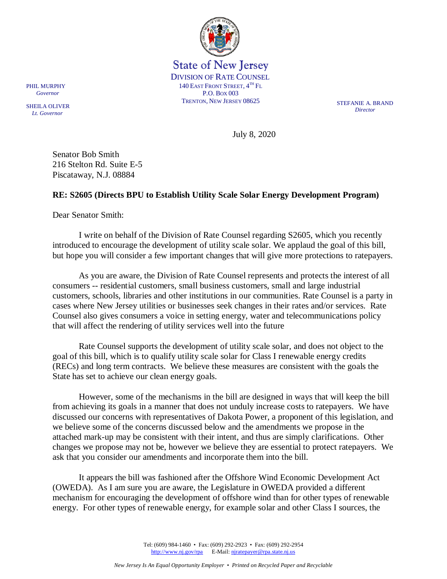

State of New Jersey DIVISION OF RATE COUNSEL 140 EAST FRONT STREET,  $4^{TH}$  Fl P.O. BOX 003 TRENTON, NEW JERSEY 08625 STEFANIE A. BRAND

*Director*

July 8, 2020

Senator Bob Smith 216 Stelton Rd. Suite E-5 Piscataway, N.J. 08884

## **RE: S2605 (Directs BPU to Establish Utility Scale Solar Energy Development Program)**

Dear Senator Smith:

I write on behalf of the Division of Rate Counsel regarding S2605, which you recently introduced to encourage the development of utility scale solar. We applaud the goal of this bill, but hope you will consider a few important changes that will give more protections to ratepayers.

As you are aware, the Division of Rate Counsel represents and protects the interest of all consumers -- residential customers, small business customers, small and large industrial customers, schools, libraries and other institutions in our communities. Rate Counsel is a party in cases where New Jersey utilities or businesses seek changes in their rates and/or services. Rate Counsel also gives consumers a voice in setting energy, water and telecommunications policy that will affect the rendering of utility services well into the future

Rate Counsel supports the development of utility scale solar, and does not object to the goal of this bill, which is to qualify utility scale solar for Class I renewable energy credits (RECs) and long term contracts. We believe these measures are consistent with the goals the State has set to achieve our clean energy goals.

However, some of the mechanisms in the bill are designed in ways that will keep the bill from achieving its goals in a manner that does not unduly increase costs to ratepayers. We have discussed our concerns with representatives of Dakota Power, a proponent of this legislation, and we believe some of the concerns discussed below and the amendments we propose in the attached mark-up may be consistent with their intent, and thus are simply clarifications. Other changes we propose may not be, however we believe they are essential to protect ratepayers. We ask that you consider our amendments and incorporate them into the bill.

It appears the bill was fashioned after the Offshore Wind Economic Development Act (OWEDA). As I am sure you are aware, the Legislature in OWEDA provided a different mechanism for encouraging the development of offshore wind than for other types of renewable energy. For other types of renewable energy, for example solar and other Class I sources, the

> Tel: (609) 984-1460 • Fax: (609) 292-2923 • Fax: (609) 292-2954 [http://www.nj.gov/rpa](http://www.state.nj.us/publicadvocate/utility) E-Mail: [njratepayer@rpa.state.nj.us](mailto:njratepayer@rpa.state.nj.us)

SHEILA OLIVER  *Lt. Governor*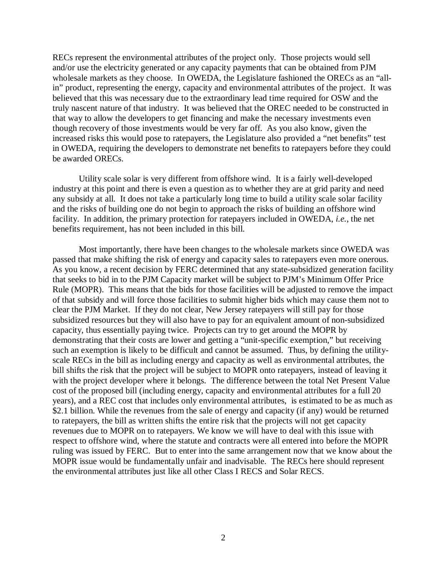RECs represent the environmental attributes of the project only. Those projects would sell and/or use the electricity generated or any capacity payments that can be obtained from PJM wholesale markets as they choose. In OWEDA, the Legislature fashioned the ORECs as an "allin" product, representing the energy, capacity and environmental attributes of the project. It was believed that this was necessary due to the extraordinary lead time required for OSW and the truly nascent nature of that industry. It was believed that the OREC needed to be constructed in that way to allow the developers to get financing and make the necessary investments even though recovery of those investments would be very far off. As you also know, given the increased risks this would pose to ratepayers, the Legislature also provided a "net benefits" test in OWEDA, requiring the developers to demonstrate net benefits to ratepayers before they could be awarded ORECs.

Utility scale solar is very different from offshore wind. It is a fairly well-developed industry at this point and there is even a question as to whether they are at grid parity and need any subsidy at all. It does not take a particularly long time to build a utility scale solar facility and the risks of building one do not begin to approach the risks of building an offshore wind facility. In addition, the primary protection for ratepayers included in OWEDA, *i.e.*, the net benefits requirement, has not been included in this bill.

Most importantly, there have been changes to the wholesale markets since OWEDA was passed that make shifting the risk of energy and capacity sales to ratepayers even more onerous. As you know, a recent decision by FERC determined that any state-subsidized generation facility that seeks to bid in to the PJM Capacity market will be subject to PJM's Minimum Offer Price Rule (MOPR). This means that the bids for those facilities will be adjusted to remove the impact of that subsidy and will force those facilities to submit higher bids which may cause them not to clear the PJM Market. If they do not clear, New Jersey ratepayers will still pay for those subsidized resources but they will also have to pay for an equivalent amount of non-subsidized capacity, thus essentially paying twice. Projects can try to get around the MOPR by demonstrating that their costs are lower and getting a "unit-specific exemption," but receiving such an exemption is likely to be difficult and cannot be assumed. Thus, by defining the utilityscale RECs in the bill as including energy and capacity as well as environmental attributes, the bill shifts the risk that the project will be subject to MOPR onto ratepayers, instead of leaving it with the project developer where it belongs. The difference between the total Net Present Value cost of the proposed bill (including energy, capacity and environmental attributes for a full 20 years), and a REC cost that includes only environmental attributes, is estimated to be as much as \$2.1 billion. While the revenues from the sale of energy and capacity (if any) would be returned to ratepayers, the bill as written shifts the entire risk that the projects will not get capacity revenues due to MOPR on to ratepayers. We know we will have to deal with this issue with respect to offshore wind, where the statute and contracts were all entered into before the MOPR ruling was issued by FERC. But to enter into the same arrangement now that we know about the MOPR issue would be fundamentally unfair and inadvisable. The RECs here should represent the environmental attributes just like all other Class I RECS and Solar RECS.